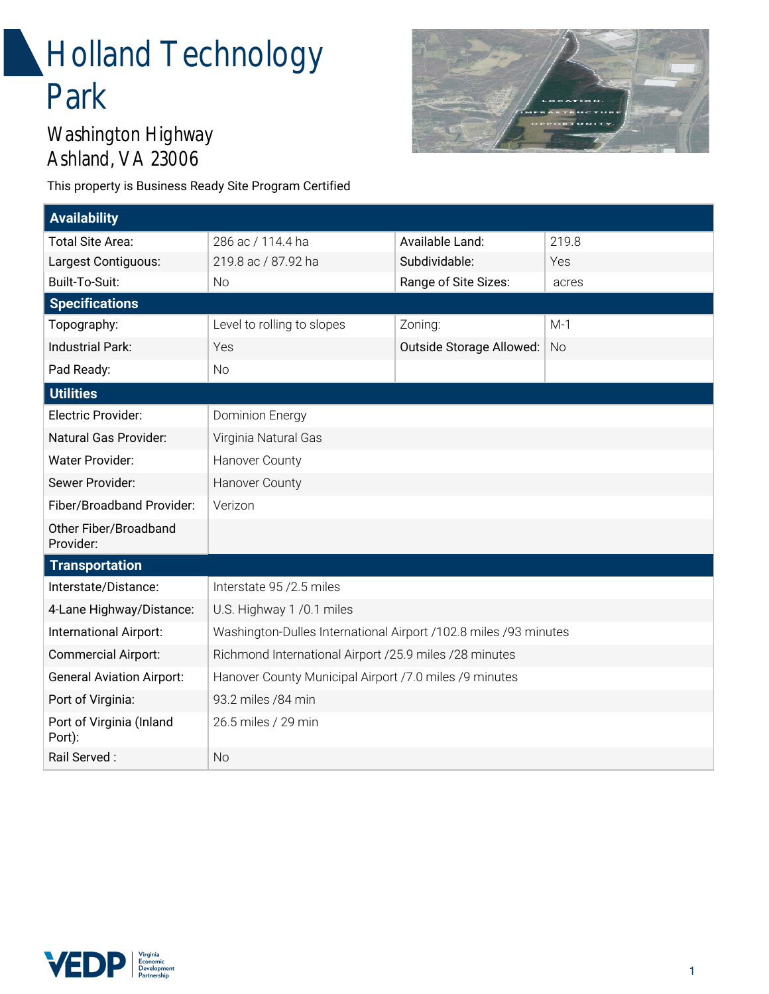# **Holland Technology** Park



### Washington Highway Ashland, VA 23006

This property is Business Ready Site Program Certified

| <b>Availability</b>                |                                                                  |                          |           |
|------------------------------------|------------------------------------------------------------------|--------------------------|-----------|
| Total Site Area:                   | 286 ac / 114.4 ha                                                | Available Land:          | 219.8     |
| Largest Contiguous:                | 219.8 ac / 87.92 ha                                              | Subdividable:            | Yes       |
| Built-To-Suit:                     | <b>No</b>                                                        | Range of Site Sizes:     | acres     |
| <b>Specifications</b>              |                                                                  |                          |           |
| Topography:                        | Level to rolling to slopes                                       | Zoning:                  | $M-1$     |
| <b>Industrial Park:</b>            | Yes                                                              | Outside Storage Allowed: | <b>No</b> |
| Pad Ready:                         | No                                                               |                          |           |
| <b>Utilities</b>                   |                                                                  |                          |           |
| Electric Provider:                 | <b>Dominion Energy</b>                                           |                          |           |
| Natural Gas Provider:              | Virginia Natural Gas                                             |                          |           |
| <b>Water Provider:</b>             | Hanover County                                                   |                          |           |
| Sewer Provider:                    | Hanover County                                                   |                          |           |
| Fiber/Broadband Provider:          | Verizon                                                          |                          |           |
| Other Fiber/Broadband<br>Provider: |                                                                  |                          |           |
| <b>Transportation</b>              |                                                                  |                          |           |
| Interstate/Distance:               | Interstate 95 / 2.5 miles                                        |                          |           |
| 4-Lane Highway/Distance:           | U.S. Highway 1 /0.1 miles                                        |                          |           |
| International Airport:             | Washington-Dulles International Airport /102.8 miles /93 minutes |                          |           |
| <b>Commercial Airport:</b>         | Richmond International Airport /25.9 miles /28 minutes           |                          |           |
| <b>General Aviation Airport:</b>   | Hanover County Municipal Airport /7.0 miles /9 minutes           |                          |           |
| Port of Virginia:                  | 93.2 miles / 84 min                                              |                          |           |
| Port of Virginia (Inland<br>Port): | 26.5 miles / 29 min                                              |                          |           |
| Rail Served:                       | <b>No</b>                                                        |                          |           |